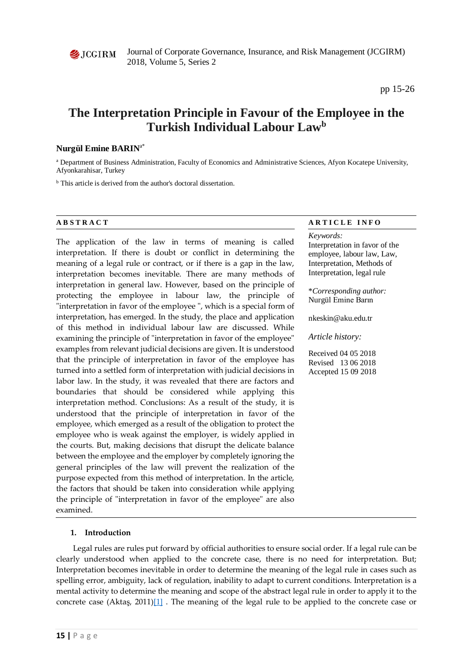

Journal of Corporate Governance, Insurance, and Risk Management (JCGIRM) 2018, Volume 5, Series 2

# **The Interpretation Principle in Favour of the Employee in the Turkish Individual Labour Lawb**

## **Nurgül Emine BARIN**a\*

<sup>a</sup> Department of Business Administration, Faculty of Economics and Administrative Sciences, Afyon Kocatepe University, Afyonkarahisar, Turkey

<sup>b</sup> This article is derived from the author's doctoral dissertation.

The application of the law in terms of meaning is called interpretation. If there is doubt or conflict in determining the meaning of a legal rule or contract, or if there is a gap in the law, interpretation becomes inevitable. There are many methods of interpretation in general law. However, based on the principle of protecting the employee in labour law, the principle of "interpretation in favor of the employee ", which is a special form of interpretation, has emerged. In the study, the place and application of this method in individual labour law are discussed. While examining the principle of "interpretation in favor of the employee" examples from relevant judicial decisions are given. It is understood that the principle of interpretation in favor of the employee has turned into a settled form of interpretation with judicial decisions in labor law. In the study, it was revealed that there are factors and boundaries that should be considered while applying this interpretation method. Conclusions: As a result of the study, it is understood that the principle of interpretation in favor of the employee, which emerged as a result of the obligation to protect the employee who is weak against the employer, is widely applied in the courts. But, making decisions that disrupt the delicate balance between the employee and the employer by completely ignoring the general principles of the law will prevent the realization of the purpose expected from this method of interpretation. In the article, the factors that should be taken into consideration while applying the principle of "interpretation in favor of the employee" are also examined.

#### **1. Introduction**

Legal rules are rules put forward by official authorities to ensure social order. If a legal rule can be clearly understood when applied to the concrete case, there is no need for interpretation. But; Interpretation becomes inevitable in order to determine the meaning of the legal rule in cases such as spelling error, ambiguity, lack of regulation, inability to adapt to current conditions. Interpretation is a mental activity to determine the meaning and scope of the abstract legal rule in order to apply it to the concrete case (Aktaş, 2011) $[1]$ . The meaning of the legal rule to be applied to the concrete case or

#### **A B S T R A C T A R T I C L E I N F O**

*Keywords:* Interpretation in favor of the employee, labour law, Law, Interpretation, Methods of Interpretation, legal rule

\**Corresponding author:*  Nurgül Emine Barın

[nkeskin@aku.edu.tr](mailto:nkeskin@aku.edu.tr)

*Article history:* 

Received 04 05 2018 Revised 13 06 2018 Accepted 15 09 2018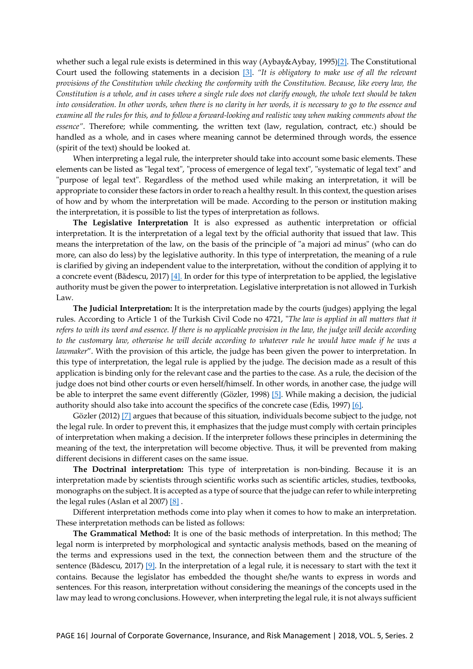whether such a legal rule exists is determined in this way (Aybay&Aybay, 1995)[2]. The Constitutional Court used the following statements in a decision [\[3\]](#page-10-0). *"It is obligatory to make use of all the relevant provisions of the Constitution while checking the conformity with the Constitution. Because, like every law, the Constitution is a whole, and in cases where a single rule does not clarify enough, the whole text should be taken into consideration. In other words, when there is no clarity in her words, it is necessary to go to the essence and examine all the rules for this, and to follow a forward-looking and realistic way when making comments about the essence"*. Therefore; while commenting, the written text (law, regulation, contract, etc.) should be handled as a whole, and in cases where meaning cannot be determined through words, the essence (spirit of the text) should be looked at.

When interpreting a legal rule, the interpreter should take into account some basic elements. These elements can be listed as "legal text", "process of emergence of legal text", "systematic of legal text" and "purpose of legal text". Regardless of the method used while making an interpretation, it will be appropriate to consider these factors in order to reach a healthy result. In this context, the question arises of how and by whom the interpretation will be made. According to the person or institution making the interpretation, it is possible to list the types of interpretation as follows.

**The Legislative Interpretation** It is also expressed as authentic interpretation or official interpretation. It is the interpretation of a legal text by the official authority that issued that law. This means the interpretation of the law, on the basis of the principle of "a majori ad minus" (who can do more, can also do less) by the legislative authority. In this type of interpretation, the meaning of a rule is clarified by giving an independent value to the interpretation, without the condition of applying it to a concrete event (Bădescu, 2017) [\[4\].](#page-9-0) In order for this type of interpretation to be applied, the legislative authority must be given the power to interpretation. Legislative interpretation is not allowed in Turkish Law.

**The Judicial Interpretation:** It is the interpretation made by the courts (judges) applying the legal rules. According to Article 1 of the Turkish Civil Code no 4721, "*The law is applied in all matters that it refers to with its word and essence. If there is no applicable provision in the law, the judge will decide according to the customary law, otherwise he will decide according to whatever rule he would have made if he was a lawmaker*". With the provision of this article, the judge has been given the power to interpretation. In this type of interpretation, the legal rule is applied by the judge. The decision made as a result of this application is binding only for the relevant case and the parties to the case. As a rule, the decision of the judge does not bind other courts or even herself/himself. In other words, in another case, the judge will be able to interpret the same event differently (Gözler, 1998) [\[5\]](#page-9-1). While making a decision, the judicial authority should also take into account the specifics of the concrete case (Edis, 1997[\) \[6\]](#page-9-2).

Gözler (2012) [\[7\]](#page-9-3) argues that because of this situation, individuals become subject to the judge, not the legal rule. In order to prevent this, it emphasizes that the judge must comply with certain principles of interpretation when making a decision. If the interpreter follows these principles in determining the meaning of the text, the interpretation will become objective. Thus, it will be prevented from making different decisions in different cases on the same issue.

**The Doctrinal interpretation:** This type of interpretation is non-binding. Because it is an interpretation made by scientists through scientific works such as scientific articles, studies, textbooks, monographs on the subject. It is accepted as a type of source that the judge can refer to while interpreting the legal rules (Aslan et al 2007[\) \[8\]](#page-8-1) .

Different interpretation methods come into play when it comes to how to make an interpretation. These interpretation methods can be listed as follows:

**The Grammatical Method:** It is one of the basic methods of interpretation. In this method; The legal norm is interpreted by morphological and syntactic analysis methods, based on the meaning of the terms and expressions used in the text, the connection between them and the structure of the sentence (Bădescu, 2017) [\[9\]](#page-9-0). In the interpretation of a legal rule, it is necessary to start with the text it contains. Because the legislator has embedded the thought she/he wants to express in words and sentences. For this reason, interpretation without considering the meanings of the concepts used in the law may lead to wrong conclusions. However, when interpreting the legal rule, it is not always sufficient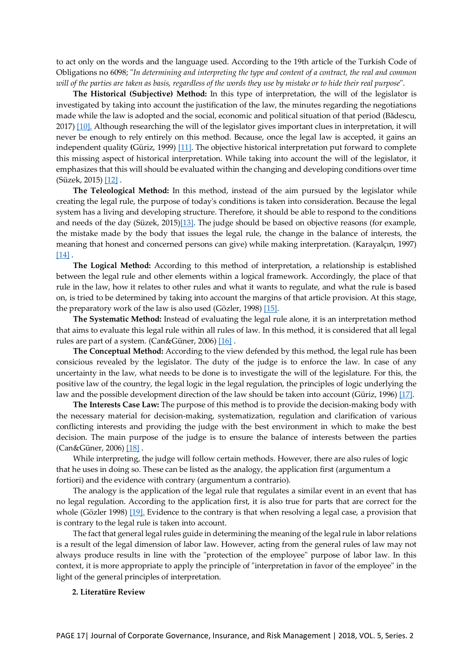to act only on the words and the language used. According to the 19th article of the Turkish Code of Obligations no 6098; "*In determining and interpreting the type and content of a contract, the real and common will of the parties are taken as basis, regardless of the words they use by mistake or to hide their real purpose*".

**The Historical (Subjective) Method:** In this type of interpretation, the will of the legislator is investigated by taking into account the justification of the law, the minutes regarding the negotiations made while the law is adopted and the social, economic and political situation of that period (Bădescu, 2017[\) \[10\].](#page-9-0) Although researching the will of the legislator gives important clues in interpretation, it will never be enough to rely entirely on this method. Because, once the legal law is accepted, it gains an independent quality **(**Güriz, 1999) [\[11\]](#page-9-4). The objective historical interpretation put forward to complete this missing aspect of historical interpretation. While taking into account the will of the legislator, it emphasizes that this will should be evaluated within the changing and developing conditions over time (Süzek, 2015[\) \[12\]](#page-10-1) .

**The Teleological Method:** In this method, instead of the aim pursued by the legislator while creating the legal rule, the purpose of today's conditions is taken into consideration. Because the legal system has a living and developing structure. Therefore, it should be able to respond to the conditions and needs of the day (Süzek, 2015[\)\[13\]](#page-10-1). The judge should be based on objective reasons (for example, the mistake made by the body that issues the legal rule, the change in the balance of interests, the meaning that honest and concerned persons can give) while making interpretation. (Karayalçın, 1997) [\[14\]](#page-9-5).

**The Logical Method:** According to this method of interpretation, a relationship is established between the legal rule and other elements within a logical framework. Accordingly, the place of that rule in the law, how it relates to other rules and what it wants to regulate, and what the rule is based on, is tried to be determined by taking into account the margins of that article provision. At this stage, the preparatory work of the law is also used (Gözler, 1998) [\[15\]](#page-9-1).

**The Systematic Method:** Instead of evaluating the legal rule alone, it is an interpretation method that aims to evaluate this legal rule within all rules of law. In this method, it is considered that all legal rules are part of a system. (Can&Güner, 2006) [\[16\]](#page-9-6) .

**The Conceptual Method:** According to the view defended by this method, the legal rule has been consicious revealed by the legislator. The duty of the judge is to enforce the law. In case of any uncertainty in the law, what needs to be done is to investigate the will of the legislature. For this, the positive law of the country, the legal logic in the legal regulation, the principles of logic underlying the law and the possible development direction of the law should be taken into account (Güriz, 1996[\) \[17\]](#page-9-7).

**The Interests Case Law:** The purpose of this method is to provide the decision-making body with the necessary material for decision-making, systematization, regulation and clarification of various conflicting interests and providing the judge with the best environment in which to make the best decision. The main purpose of the judge is to ensure the balance of interests between the parties (Can&Güner, 2006) [\[18\]](#page-9-6) .

While interpreting, the judge will follow certain methods. However, there are also rules of logic that he uses in doing so. These can be listed as the analogy, the application first (argumentum a fortiori) and the evidence with contrary (argumentum a contrario).

The analogy is the application of the legal rule that regulates a similar event in an event that has no legal regulation. According to the application first, it is also true for parts that are correct for the whole (Gözler 1998) [\[19\]](#page-9-1). Evidence to the contrary is that when resolving a legal case, a provision that is contrary to the legal rule is taken into account.

The fact that general legal rules guide in determining the meaning of the legal rule in labor relations is a result of the legal dimension of labor law. However, acting from the general rules of law may not always produce results in line with the "protection of the employee" purpose of labor law. In this context, it is more appropriate to apply the principle of "interpretation in favor of the employee" in the light of the general principles of interpretation.

#### **2. Literatüre Review**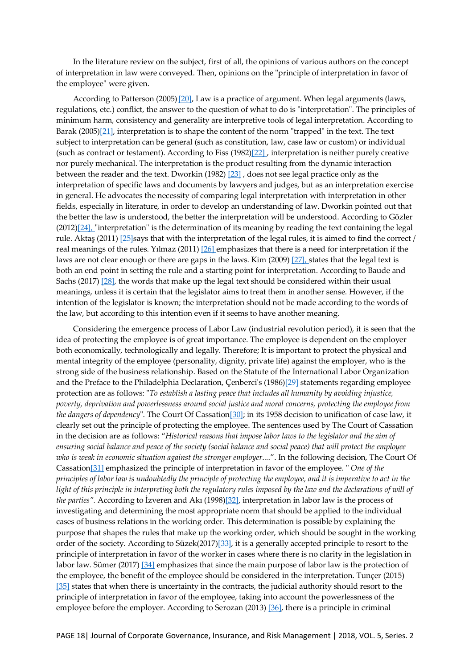In the literature review on the subject, first of all, the opinions of various authors on the concept of interpretation in law were conveyed. Then, opinions on the "principle of interpretation in favor of the employee" were given.

According to Patterson (2005)<sup>[[20\]](#page-10-2)</sup>, Law is a practice of argument. When legal arguments (laws, regulations, etc.) conflict, the answer to the question of what to do is "interpretation". The principles of minimum harm, consistency and generality are interpretive tools of legal interpretation. According to Barak (2005[\)\[21\]](#page-9-8), interpretation is to shape the content of the norm "trapped" in the text. The text subject to interpretation can be general (such as constitution, law, case law or custom) or individual (such as contract or testament). According to Fiss (1982[\)\[22\]](#page-9-9) , interpretation is neither purely creative nor purely mechanical. The interpretation is the product resulting from the dynamic interaction between the reader and the text. Dworkin (1982) [\[23\]](#page-9-10) , does not see legal practice only as the interpretation of specific laws and documents by lawyers and judges, but as an interpretation exercise in general. He advocates the necessity of comparing legal interpretation with interpretation in other fields, especially in literature, in order to develop an understanding of law. Dworkin pointed out that the better the law is understood, the better the interpretation will be understood. According to Gözler  $(2012)[24]$  $(2012)[24]$ , "interpretation" is the determination of its meaning by reading the text containing the legal rule. Aktaş (2011) [\[25\]](#page-8-0)says that with the interpretation of the legal rules, it is aimed to find the correct / real meanings of the rules. Yılmaz (2011) [\[26\]](#page-10-3) emphasizes that there is a need for interpretation if the laws are not clear enough or there are gaps in the laws. Kim (2009) [\[27\]](#page-9-11), states that the legal text is both an end point in setting the rule and a starting point for interpretation. According to Baude and Sachs (2017) [\[28\]](#page-9-12), the words that make up the legal text should be considered within their usual meanings, unless it is certain that the legislator aims to treat them in another sense. However, if the intention of the legislator is known; the interpretation should not be made according to the words of the law, but according to this intention even if it seems to have another meaning.

Considering the emergence process of Labor Law (industrial revolution period), it is seen that the idea of protecting the employee is of great importance. The employee is dependent on the employer both economically, technologically and legally. Therefore; It is important to protect the physical and mental integrity of the employee (personality, dignity, private life) against the employer, who is the strong side of the business relationship. Based on the Statute of the International Labor Organization and the Preface to the Philadelphia Declaration, Çenberci's (1986[\)\[29\]](#page-9-13) statements regarding employee protection are as follows: "*To establish a lasting peace that includes all humanity by avoiding injustice, poverty, deprivation and powerlessness around social justice and moral concerns, protecting the employee from the dangers of dependency*". The Court Of Cassation[\[30\]](#page-9-14); in its 1958 decision to unification of case law, it clearly set out the principle of protecting the employee. The sentences used by The Court of Cassation in the decision are as follows: "*Historical reasons that impose labor laws to the legislator and the aim of ensuring social balance and peace of the society (social balance and social peace) that will protect the employee who is weak in economic situation against the stronger employer*.*..*.". In the following decision, The Court Of Cassation[\[31\]](#page-9-13) emphasized the principle of interpretation in favor of the employee. " *One of the principles of labor law is undoubtedly the principle of protecting the employee, and it is imperative to act in the light of this principle in interpreting both the regulatory rules imposed by the law and the declarations of will of the parties".* According to İzveren and Akı (1998)[3[2\]](#page-9-15), interpretation in labor law is the process of investigating and determining the most appropriate norm that should be applied to the individual cases of business relations in the working order. This determination is possible by explaining the purpose that shapes the rules that make up the working order, which should be sought in the working order of the society. According to Süzek(2017)[\[33](#page-10-4)], it is a generally accepted principle to resort to the principle of interpretation in favor of the worker in cases where there is no clarity in the legislation in labor law. Sümer (2017) [\[34](#page-10-5)] emphasizes that since the main purpose of labor law is the protection of the employee, the benefit of the employee should be considered in the interpretation. Tunçer (2015) [\[35\]](#page-10-0) states that when there is uncertainty in the contracts, the judicial authority should resort to the principle of interpretation in favor of the employee, taking into account the powerlessness of the employee before the employer. According to Serozan (2013[\) \[36\]](#page-10-6), there is a principle in criminal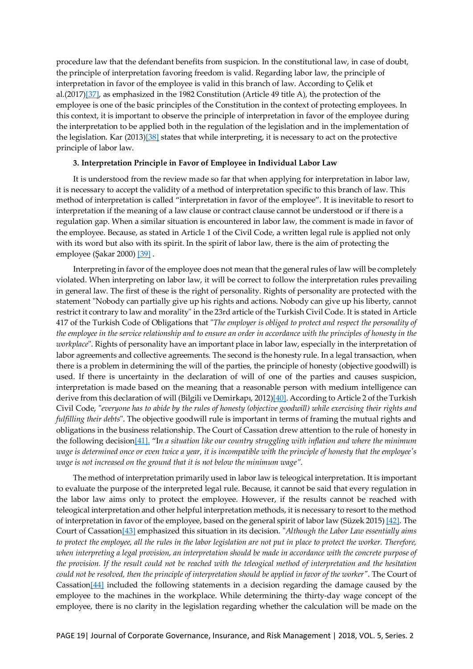procedure law that the defendant benefits from suspicion. In the constitutional law, in case of doubt, the principle of interpretation favoring freedom is valid. Regarding labor law, the principle of interpretation in favor of the employee is valid in this branch of law. According to Çelik et al.(2017[\)\[37\],](#page-9-16) as emphasized in the 1982 Constitution (Article 49 title A), the protection of the employee is one of the basic principles of the Constitution in the context of protecting employees. In this context, it is important to observe the principle of interpretation in favor of the employee during the interpretation to be applied both in the regulation of the legislation and in the implementation of the legislation. Kar (2013[\)\[38\]](#page-9-17) states that while interpreting, it is necessary to act on the protective principle of labor law.

#### **3. Interpretation Principle in Favor of Employee in Individual Labor Law**

It is understood from the review made so far that when applying for interpretation in labor law, it is necessary to accept the validity of a method of interpretation specific to this branch of law. This method of interpretation is called "interpretation in favor of the employee". It is inevitable to resort to interpretation if the meaning of a law clause or contract clause cannot be understood or if there is a regulation gap. When a similar situation is encountered in labor law, the comment is made in favor of the employee. Because, as stated in Article 1 of the Civil Code, a written legal rule is applied not only with its word but also with its spirit. In the spirit of labor law, there is the aim of protecting the employee (Şakar 2000) [[39\]](#page-10-7) .

Interpreting in favor of the employee does not mean that the general rules of law will be completely violated. When interpreting on labor law, it will be correct to follow the interpretation rules prevailing in general law. The first of these is the right of personality. Rights of personality are protected with the statement "Nobody can partially give up his rights and actions. Nobody can give up his liberty, cannot restrict it contrary to law and morality" in the 23rd article of the Turkish Civil Code. It is stated in Article 417 of the Turkish Code of Obligations that "*The employer is obliged to protect and respect the personality of the employee in the service relationship and to ensure an order in accordance with the principles of honesty in the workplace*". Rights of personality have an important place in labor law, especially in the interpretation of labor agreements and collective agreements. The second is the honesty rule. In a legal transaction, when there is a problem in determining the will of the parties, the principle of honesty (objective goodwill) is used. If there is uncertainty in the declaration of will of one of the parties and causes suspicion, interpretation is made based on the meaning that a reasonable person with medium intelligence can derive from this declaration of will (Bilgili ve Demirkapı, 2012[\)\[40\]](#page-9-18). According to Article 2 of the Turkish Civil Code, "*everyone has to abide by the rules of honesty (objective goodwill) while exercising their rights and fulfilling their debts*". The objective goodwill rule is important in terms of framing the mutual rights and obligations in the business relationship. The Court of Cassation drew attention to the rule of honesty in the following decision[\[41\]](#page-11-0). "I*n a situation like our country struggling with inflation and where the minimum wage is determined once or even twice a year, it is incompatible with the principle of honesty that the employee's wage is not increased on the ground that it is not below the minimum wage"*.

The method of interpretation primarily used in labor law is teleogical interpretation. It is important to evaluate the purpose of the interpreted legal rule. Because, it cannot be said that every regulation in the labor law aims only to protect the employee. However, if the results cannot be reached with teleogical interpretation and other helpful interpretation methods, it is necessary to resort to the method of interpretation in favor of the employee, based on the general spirit of labor law (Süzek 2015) [[42\]](#page-10-1). The Court of Cassatio[n\[43](#page-10-8)] emphasized this situation in its decision. "*Although the Labor Law essentially aims*  to protect the employee, all the rules in the labor legislation are not put in place to protect the worker. Therefore, when interpreting a legal provision, an interpretation should be made in accordance with the concrete purpose of *the provision. If the result could not be reached with the teleogical method of interpretation and the hesitation could not be resolved, then the principle of interpretation should be applied in favor of the worker"*. The Court of Cassatio[n\[44](#page-10-9)] included the following statements in a decision regarding the damage caused by the employee to the machines in the workplace. While determining the thirty-day wage concept of the employee, there is no clarity in the legislation regarding whether the calculation will be made on the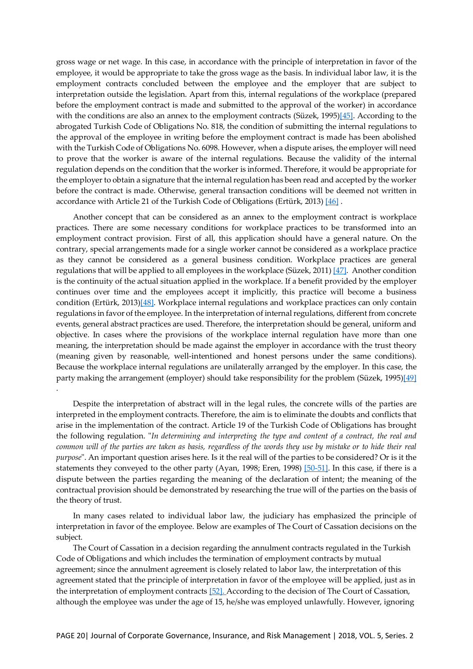gross wage or net wage. In this case, in accordance with the principle of interpretation in favor of the employee, it would be appropriate to take the gross wage as the basis. In individual labor law, it is the employment contracts concluded between the employee and the employer that are subject to interpretation outside the legislation. Apart from this, internal regulations of the workplace (prepared before the employment contract is made and submitted to the approval of the worker) in accordance with the conditions are also an annex to the employment contracts (Süzek, 1995)[\[4](#page-10-10)5]. According to the abrogated Turkish Code of Obligations No. 818, the condition of submitting the internal regulations to the approval of the employee in writing before the employment contract is made has been abolished with the Turkish Code of Obligations No. 6098. However, when a dispute arises, the employer will need to prove that the worker is aware of the internal regulations. Because the validity of the internal regulation depends on the condition that the worker is informed. Therefore, it would be appropriate for the employer to obtain a signature that the internal regulation has been read and accepted by the worker before the contract is made. Otherwise, general transaction conditions will be deemed not written in accordance with Article 21 of the Turkish Code of Obligations (Ertürk, 2013) [\[46](#page-9-19)].

Another concept that can be considered as an annex to the employment contract is workplace practices. There are some necessary conditions for workplace practices to be transformed into an employment contract provision. First of all, this application should have a general nature. On the contrary, special arrangements made for a single worker cannot be considered as a workplace practice as they cannot be considered as a general business condition. Workplace practices are general regulations that will be applied to all employees in the workplace (Süzek, 2011) [\[4](#page-10-11)7]. Another condition is the continuity of the actual situation applied in the workplace. If a benefit provided by the employer continues over time and the employees accept it implicitly, this practice will become a business condition (Ertürk, 2013)[4[8\]](#page-9-19). Workplace internal regulations and workplace practices can only contain regulations in favor of the employee. In the interpretation of internal regulations, different from concrete events, general abstract practices are used. Therefore, the interpretation should be general, uniform and objective. In cases where the provisions of the workplace internal regulation have more than one meaning, the interpretation should be made against the employer in accordance with the trust theory (meaning given by reasonable, well-intentioned and honest persons under the same conditions). Because the workplace internal regulations are unilaterally arranged by the employer. In this case, the party making the arrangement (employer) should take responsibility for the problem (Süzek, 1995)[[49\]](#page-10-10)

Despite the interpretation of abstract will in the legal rules, the concrete wills of the parties are interpreted in the employment contracts. Therefore, the aim is to eliminate the doubts and conflicts that arise in the implementation of the contract. Article 19 of the Turkish Code of Obligations has brought the following regulation. "*In determining and interpreting the type and content of a contract, the real and common will of the parties are taken as basis, regardless of the words they use by mistake or to hide their real purpose*". An important question arises here. Is it the real will of the parties to be considered? Or is it the statements they conveyed to the other party (Ayan, 1998; Eren, 1998) [\[50](#page-8-2)-[51\]](#page-8-2). In this case, if there is a dispute between the parties regarding the meaning of the declaration of intent; the meaning of the contractual provision should be demonstrated by researching the true will of the parties on the basis of the theory of trust.

.

In many cases related to individual labor law, the judiciary has emphasized the principle of interpretation in favor of the employee. Below are examples of The Court of Cassation decisions on the subject.

The Court of Cassation in a decision regarding the annulment contracts regulated in the Turkish Code of Obligations and which includes the termination of employment contracts by mutual agreement; since the annulment agreement is closely related to labor law, the interpretation of this agreement stated that the principle of interpretation in favor of the employee will be applied, just as in the interpretation of employment contracts [\[52\].](#page-11-1) According to the decision of The Court of Cassation, although the employee was under the age of 15, he/she was employed unlawfully. However, ignoring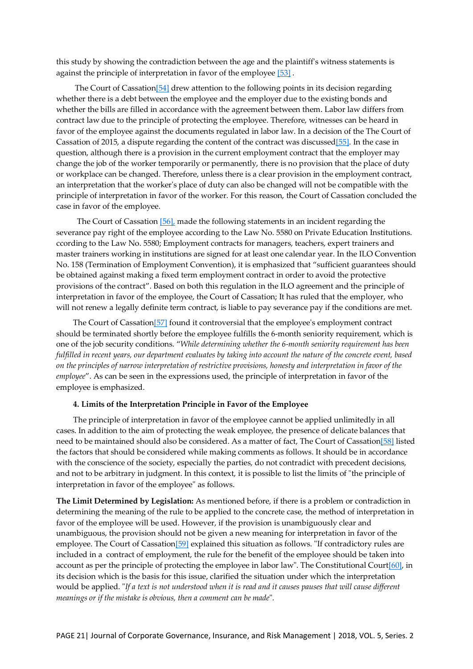this study by showing the contradiction between the age and the plaintiff's witness statements is against the principle of interpretation in favor of the employee [\[53\]](#page-10-12) .

The Court of Cassation[\[54\]](#page-10-13) drew attention to the following points in its decision regarding whether there is a debt between the employee and the employer due to the existing bonds and whether the bills are filled in accordance with the agreement between them. Labor law differs from contract law due to the principle of protecting the employee. Therefore, witnesses can be heard in favor of the employee against the documents regulated in labor law. In a decision of the The Court of Cassation of 2015, a dispute regarding the content of the contract was discusse[d\[55\]](#page-11-2). In the case in question, although there is a provision in the current employment contract that the employer may change the job of the worker temporarily or permanently, there is no provision that the place of duty or workplace can be changed. Therefore, unless there is a clear provision in the employment contract, an interpretation that the worker's place of duty can also be changed will not be compatible with the principle of interpretation in favor of the worker. For this reason, the Court of Cassation concluded the case in favor of the employee.

 The Court of Cassation [\[56\]](#page-11-3), made the following statements in an incident regarding the severance pay right of the employee according to the Law No. 5580 on Private Education Institutions. ccording to the Law No. 5580; Employment contracts for managers, teachers, expert trainers and master trainers working in institutions are signed for at least one calendar year. In the ILO Convention No. 158 (Termination of Employment Convention), it is emphasized that "sufficient guarantees should be obtained against making a fixed term employment contract in order to avoid the protective provisions of the contract". Based on both this regulation in the ILO agreement and the principle of interpretation in favor of the employee, the Court of Cassation; It has ruled that the employer, who will not renew a legally definite term contract, is liable to pay severance pay if the conditions are met.

The Court of Cassation[\[57\]](#page-11-4) found it controversial that the employee's employment contract should be terminated shortly before the employee fulfills the 6-month seniority requirement, which is one of the job security conditions. "*While determining whether the 6-month seniority requirement has been fulfilled in recent years, our department evaluates by taking into account the nature of the concrete event, based on the principles of narrow interpretation of restrictive provisions, honesty and interpretation in favor of the employee*". As can be seen in the expressions used, the principle of interpretation in favor of the employee is emphasized.

### **4. Limits of the Interpretation Principle in Favor of the Employee**

The principle of interpretation in favor of the employee cannot be applied unlimitedly in all cases. In addition to the aim of protecting the weak employee, the presence of delicate balances that need to be maintained should also be considered. As a matter of fact, The Court of Cassation[\[58\]](#page-10-14) listed the factors that should be considered while making comments as follows. It should be in accordance with the conscience of the society, especially the parties, do not contradict with precedent decisions, and not to be arbitrary in judgment. In this context, it is possible to list the limits of "the principle of interpretation in favor of the employee" as follows.

**The Limit Determined by Legislation:** As mentioned before, if there is a problem or contradiction in determining the meaning of the rule to be applied to the concrete case, the method of interpretation in favor of the employee will be used. However, if the provision is unambiguously clear and unambiguous, the provision should not be given a new meaning for interpretation in favor of the employee. The Court of Cassation[[59\]](#page-11-5) explained this situation as follows. "If contradictory rules are included in a contract of employment, the rule for the benefit of the employee should be taken into account as per the principle of protecting the employee in labor law". The Constitutional Court[[60\]](#page-10-15), in its decision which is the basis for this issue, clarified the situation under which the interpretation would be applied. "*If a text is not understood when it is read and it causes pauses that will cause different meanings or if the mistake is obvious, then a comment can be made*".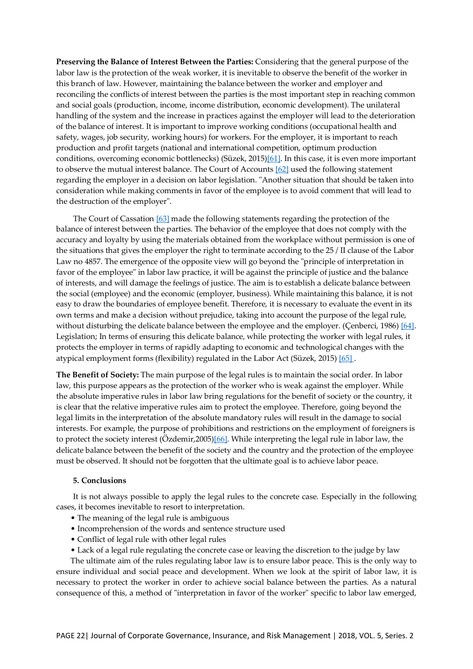**Preserving the Balance of Interest Between the Parties:** Considering that the general purpose of the labor law is the protection of the weak worker, it is inevitable to observe the benefit of the worker in this branch of law. However, maintaining the balance between the worker and employer and reconciling the conflicts of interest between the parties is the most important step in reaching common and social goals (production, income, income distribution, economic development). The unilateral handling of the system and the increase in practices against the employer will lead to the deterioration of the balance of interest. It is important to improve working conditions (occupational health and safety, wages, job security, working hours) for workers. For the employer, it is important to reach production and profit targets (national and international competition, optimum production conditions, overcoming economic bottlenecks) (Süzek, 2015)[[61\]](#page-10-1). In this case, it is even more important to observe the mutual interest balance. The Court of Accounts [\[6](#page-11-6)2] used the following statement regarding the employer in a decision on labor legislation. "Another situation that should be taken into consideration while making comments in favor of the employee is to avoid comment that will lead to the destruction of the employer".

The Court of Cassation [\[63](#page-10-16)] made the following statements regarding the protection of the balance of interest between the parties. The behavior of the employee that does not comply with the accuracy and loyalty by using the materials obtained from the workplace without permission is one of the situations that gives the employer the right to terminate according to the 25 / II clause of the Labor Law no 4857. The emergence of the opposite view will go beyond the "principle of interpretation in favor of the employee" in labor law practice, it will be against the principle of justice and the balance of interests, and will damage the feelings of justice. The aim is to establish a delicate balance between the social (employee) and the economic (employer, business). While maintaining this balance, it is not easy to draw the boundaries of employee benefit. Therefore, it is necessary to evaluate the event in its own terms and make a decision without prejudice, taking into account the purpose of the legal rule, without disturbing the delicate balance between the employee and the employer. (Çenberci, 1986) [\[64](#page-9-13)]. Legislation; In terms of ensuring this delicate balance, while protecting the worker with legal rules, it protects the employer in terms of rapidly adapting to economic and technological changes with the atypical employment forms (flexibility) regulated in the Labor Act (Süzek, 2015[\) \[65\]](#page-10-1) .

**The Benefit of Society:** The main purpose of the legal rules is to maintain the social order. In labor law, this purpose appears as the protection of the worker who is weak against the employer. While the absolute imperative rules in labor law bring regulations for the benefit of society or the country, it is clear that the relative imperative rules aim to protect the employee. Therefore, going beyond the legal limits in the interpretation of the absolute mandatory rules will result in the damage to social interests. For example, the purpose of prohibitions and restrictions on the employment of foreigners is to protect the society interest (Özdemir,2005)[\[66](#page-10-17)]. While interpreting the legal rule in labor law, the delicate balance between the benefit of the society and the country and the protection of the employee must be observed. It should not be forgotten that the ultimate goal is to achieve labor peace.

#### **5. Conclusions**

It is not always possible to apply the legal rules to the concrete case. Especially in the following cases, it becomes inevitable to resort to interpretation.

- The meaning of the legal rule is ambiguous
- Incomprehension of the words and sentence structure used
- Conflict of legal rule with other legal rules
- Lack of a legal rule regulating the concrete case or leaving the discretion to the judge by law

The ultimate aim of the rules regulating labor law is to ensure labor peace. This is the only way to ensure individual and social peace and development. When we look at the spirit of labor law, it is necessary to protect the worker in order to achieve social balance between the parties. As a natural consequence of this, a method of "interpretation in favor of the worker" specific to labor law emerged,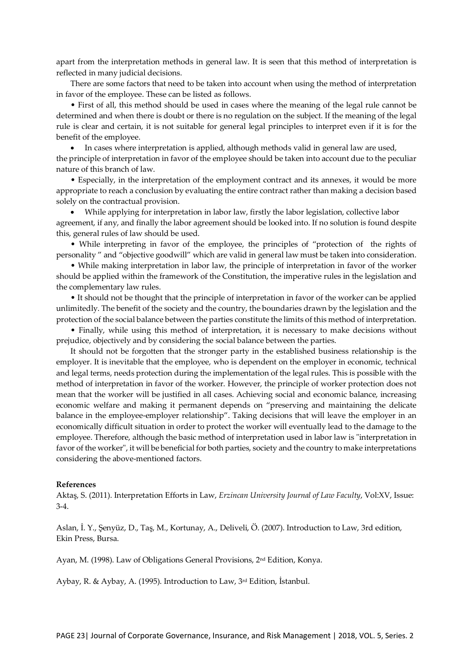apart from the interpretation methods in general law. It is seen that this method of interpretation is reflected in many judicial decisions.

There are some factors that need to be taken into account when using the method of interpretation in favor of the employee. These can be listed as follows.

• First of all, this method should be used in cases where the meaning of the legal rule cannot be determined and when there is doubt or there is no regulation on the subject. If the meaning of the legal rule is clear and certain, it is not suitable for general legal principles to interpret even if it is for the benefit of the employee.

• In cases where interpretation is applied, although methods valid in general law are used, the principle of interpretation in favor of the employee should be taken into account due to the peculiar nature of this branch of law.

• Especially, in the interpretation of the employment contract and its annexes, it would be more appropriate to reach a conclusion by evaluating the entire contract rather than making a decision based solely on the contractual provision.

• While applying for interpretation in labor law, firstly the labor legislation, collective labor agreement, if any, and finally the labor agreement should be looked into. If no solution is found despite this, general rules of law should be used.

• While interpreting in favor of the employee, the principles of "protection of the rights of personality " and "objective goodwill" which are valid in general law must be taken into consideration.

• While making interpretation in labor law, the principle of interpretation in favor of the worker should be applied within the framework of the Constitution, the imperative rules in the legislation and the complementary law rules.

• It should not be thought that the principle of interpretation in favor of the worker can be applied unlimitedly. The benefit of the society and the country, the boundaries drawn by the legislation and the protection of the social balance between the parties constitute the limits of this method of interpretation.

• Finally, while using this method of interpretation, it is necessary to make decisions without prejudice, objectively and by considering the social balance between the parties.

It should not be forgotten that the stronger party in the established business relationship is the employer. It is inevitable that the employee, who is dependent on the employer in economic, technical and legal terms, needs protection during the implementation of the legal rules. This is possible with the method of interpretation in favor of the worker. However, the principle of worker protection does not mean that the worker will be justified in all cases. Achieving social and economic balance, increasing economic welfare and making it permanent depends on "preserving and maintaining the delicate balance in the employee-employer relationship". Taking decisions that will leave the employer in an economically difficult situation in order to protect the worker will eventually lead to the damage to the employee. Therefore, although the basic method of interpretation used in labor law is "interpretation in favor of the worker", it will be beneficial for both parties, society and the country to make interpretations considering the above-mentioned factors.

#### **References**

<span id="page-8-0"></span>Aktaş, S. (2011). Interpretation Efforts in Law, *Erzincan University Journal of Law Faculty*, Vol:XV, Issue: 3-4.

<span id="page-8-1"></span>Aslan, İ. Y., Şenyüz, D., Taş, M., Kortunay, A., Deliveli, Ö. (2007). Introduction to Law, 3rd edition, Ekin Press, Bursa.

<span id="page-8-2"></span>Ayan, M. (1998). Law of Obligations General Provisions, 2nd Edition, Konya.

Aybay, R. & Aybay, A. (1995). Introduction to Law, 3rd Edition, İstanbul.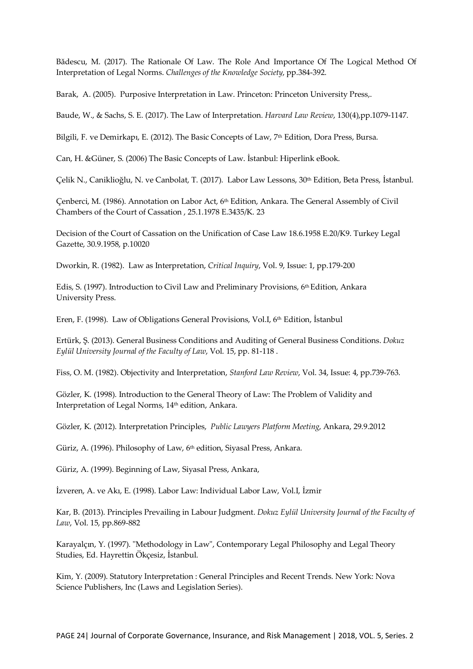<span id="page-9-0"></span>Bădescu, M. (2017). The Rationale Of Law. The Role And Importance Of The Logical Method Of Interpretation of Legal Norms. *Challenges of the Knowledge Society*, pp.384-392.

<span id="page-9-8"></span>Barak, A. (2005). Purposive Interpretation in Law. Princeton: Princeton University Press,.

<span id="page-9-12"></span>Baude, W., & Sachs, S. E. (2017). The Law of Interpretation*. Harvard Law Review*, 130(4),pp.1079-1147.

<span id="page-9-18"></span>Bilgili, F. ve Demirkapı, E. (2012). The Basic Concepts of Law, 7<sup>th</sup> Edition, Dora Press, Bursa.

<span id="page-9-6"></span>Can, H. &Güner, S. (2006) The Basic Concepts of Law. İstanbul: Hiperlink eBook.

<span id="page-9-16"></span>Çelik N., Caniklioğlu, N. ve Canbolat, T. (2017). Labor Law Lessons, 30<sup>th</sup> Edition, Beta Press, İstanbul.

<span id="page-9-13"></span>Çenberci, M. (1986). Annotation on Labor Act, 6th Edition, Ankara. The General Assembly of Civil Chambers of the Court of Cassation , 25.1.1978 E.3435/K. 23

<span id="page-9-14"></span>Decision of the Court of Cassation on the Unification of Case Law 18.6.1958 E.20/K9. Turkey Legal Gazette, 30.9.1958, p.10020

<span id="page-9-10"></span>Dworkin, R. (1982). Law as Interpretation, *Critical Inquiry*, Vol. 9, Issue: 1, pp.179-200

<span id="page-9-2"></span>Edis, S. (1997). Introduction to Civil Law and Preliminary Provisions, 6th Edition, Ankara University Press.

Eren, F. (1998). Law of Obligations General Provisions, Vol.I, 6th Edition, İstanbul

<span id="page-9-19"></span>Ertürk, Ş. (2013). General Business Conditions and Auditing of General Business Conditions. *Dokuz Eylül University Journal of the Faculty of Law*, Vol. 15, pp. 81-118 .

<span id="page-9-9"></span>Fiss, O. M. (1982). Objectivity and Interpretation, *Stanford Law Review*, Vol. 34, Issue: 4, pp.739-763.

<span id="page-9-1"></span>Gözler, K. (1998). Introduction to the General Theory of Law: The Problem of Validity and Interpretation of Legal Norms, 14<sup>th</sup> edition, Ankara.

<span id="page-9-3"></span>Gözler, K. (2012). Interpretation Principles, *Public Lawyers Platform Meeting*, Ankara, 29.9.2012

<span id="page-9-7"></span>Güriz, A. (1996). Philosophy of Law, 6th edition, Siyasal Press, Ankara.

<span id="page-9-4"></span>Güriz, A. (1999). Beginning of Law, Siyasal Press, Ankara,

<span id="page-9-17"></span><span id="page-9-15"></span>İzveren, A. ve Akı, E. (1998). Labor Law: Individual Labor Law, Vol.I, İzmir

Kar, B. (2013). Principles Prevailing in Labour Judgment. *Dokuz Eylül University Journal of the Faculty of Law*, Vol. 15, pp.869-882

<span id="page-9-5"></span>Karayalçın, Y. (1997). "Methodology in Law", Contemporary Legal Philosophy and Legal Theory Studies, Ed. Hayrettin Ökçesiz, İstanbul.

<span id="page-9-11"></span>Kim, Y. (2009). Statutory Interpretation : General Principles and Recent Trends. New York: Nova Science Publishers, Inc (Laws and Legislation Series).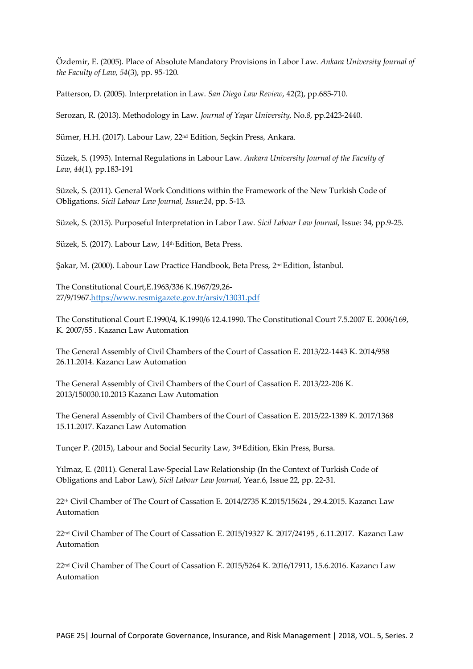<span id="page-10-17"></span>Özdemir, E. (2005). Place of Absolute Mandatory Provisions in Labor Law. *Ankara University Journal of the Faculty of Law*, *54*(3), pp. 95-120.

<span id="page-10-2"></span>Patterson, D. (2005). Interpretation in Law. *San Diego Law Review*, 42(2), pp.685-710.

<span id="page-10-6"></span>Serozan, R. (2013). Methodology in Law. *Journal of Yaşar University*, No.*8*, pp.2423-2440.

<span id="page-10-5"></span>Sümer, H.H. (2017). Labour Law, 22nd Edition, Seçkin Press, Ankara.

<span id="page-10-10"></span>Süzek, S. (1995). Internal Regulations in Labour Law. *Ankara University Journal of the Faculty of Law*, *44*(1), pp.183-191

<span id="page-10-11"></span>Süzek, S. (2011). General Work Conditions within the Framework of the New Turkish Code of Obligations. *Sicil Labour Law Journal, Issue:24*, pp. 5-13.

<span id="page-10-4"></span><span id="page-10-1"></span>Süzek, S. (2015). Purposeful Interpretation in Labor Law. *Sicil Labour Law Journal*, Issue: 34, pp.9-25.

Süzek, S. (2017). Labour Law, 14<sup>th</sup> Edition, Beta Press.

<span id="page-10-7"></span>Şakar, M. (2000). Labour Law Practice Handbook, Beta Press, 2nd Edition, İstanbul.

The Constitutional Court,E.1963/336 K.1967/29,26- 27/9/1967[.https://www.resmigazete.gov.tr/arsiv/13031.pdf](https://www.resmigazete.gov.tr/arsiv/13031.pdf)

<span id="page-10-0"></span>The Constitutional Court E.1990/4, K.1990/6 12.4.1990. The Constitutional Court 7.5.2007 E. 2006/169, K. 2007/55 . Kazancı Law Automation

<span id="page-10-15"></span>The General Assembly of Civil Chambers of the Court of Cassation E. 2013/22-1443 K. 2014/958 26.11.2014. Kazancı Law Automation

<span id="page-10-14"></span>The General Assembly of Civil Chambers of the Court of Cassation E. 2013/22-206 K. 2013/150030.10.2013 Kazancı Law Automation

<span id="page-10-12"></span><span id="page-10-8"></span>The General Assembly of Civil Chambers of the Court of Cassation E. 2015/22-1389 K. 2017/1368 15.11.2017. Kazancı Law Automation

Tunçer P. (2015), Labour and Social Security Law, 3rd Edition, Ekin Press, Bursa.

<span id="page-10-3"></span>Yılmaz, E. (2011). General Law-Special Law Relationship (In the Context of Turkish Code of Obligations and Labor Law), *Sicil Labour Law Journal*, Year.6, Issue 22, pp. 22-31.

<span id="page-10-13"></span>22th Civil Chamber of The Court of Cassation E. 2014/2735 K.2015/15624 , 29.4.2015. Kazancı Law Automation

<span id="page-10-16"></span>22nd Civil Chamber of The Court of Cassation E. 2015/19327 K. 2017/24195 , 6.11.2017. Kazancı Law Automation

<span id="page-10-9"></span>22nd Civil Chamber of The Court of Cassation E. 2015/5264 K. 2016/17911, 15.6.2016. Kazancı Law Automation